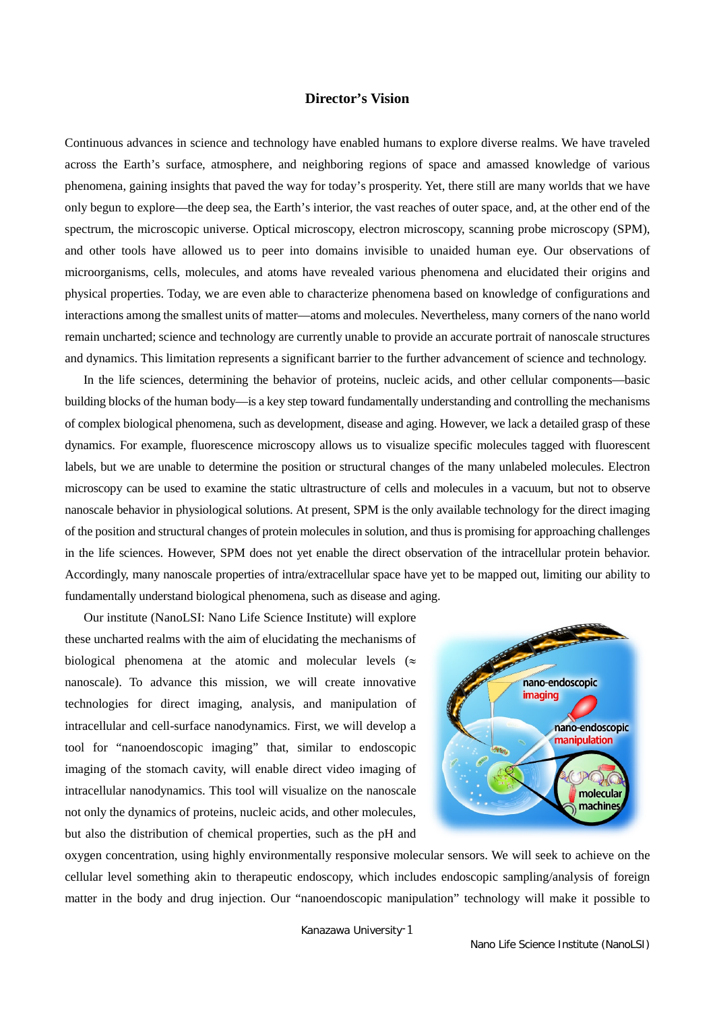## **Director's Vision**

Continuous advances in science and technology have enabled humans to explore diverse realms. We have traveled across the Earth's surface, atmosphere, and neighboring regions of space and amassed knowledge of various phenomena, gaining insights that paved the way for today's prosperity. Yet, there still are many worlds that we have only begun to explore—the deep sea, the Earth's interior, the vast reaches of outer space, and, at the other end of the spectrum, the microscopic universe. Optical microscopy, electron microscopy, scanning probe microscopy (SPM), and other tools have allowed us to peer into domains invisible to unaided human eye. Our observations of microorganisms, cells, molecules, and atoms have revealed various phenomena and elucidated their origins and physical properties. Today, we are even able to characterize phenomena based on knowledge of configurations and interactions among the smallest units of matter—atoms and molecules. Nevertheless, many corners of the nano world remain uncharted; science and technology are currently unable to provide an accurate portrait of nanoscale structures and dynamics. This limitation represents a significant barrier to the further advancement of science and technology.

 In the life sciences, determining the behavior of proteins, nucleic acids, and other cellular components—basic building blocks of the human body—is a key step toward fundamentally understanding and controlling the mechanisms of complex biological phenomena, such as development, disease and aging. However, we lack a detailed grasp of these dynamics. For example, fluorescence microscopy allows us to visualize specific molecules tagged with fluorescent labels, but we are unable to determine the position or structural changes of the many unlabeled molecules. Electron microscopy can be used to examine the static ultrastructure of cells and molecules in a vacuum, but not to observe nanoscale behavior in physiological solutions. At present, SPM is the only available technology for the direct imaging of the position and structural changes of protein molecules in solution, and thus is promising for approaching challenges in the life sciences. However, SPM does not yet enable the direct observation of the intracellular protein behavior. Accordingly, many nanoscale properties of intra/extracellular space have yet to be mapped out, limiting our ability to fundamentally understand biological phenomena, such as disease and aging.

 Our institute (NanoLSI: Nano Life Science Institute) will explore these uncharted realms with the aim of elucidating the mechanisms of biological phenomena at the atomic and molecular levels ( $\approx$ nanoscale). To advance this mission, we will create innovative technologies for direct imaging, analysis, and manipulation of intracellular and cell-surface nanodynamics. First, we will develop a tool for "nanoendoscopic imaging" that, similar to endoscopic imaging of the stomach cavity, will enable direct video imaging of intracellular nanodynamics. This tool will visualize on the nanoscale not only the dynamics of proteins, nucleic acids, and other molecules, but also the distribution of chemical properties, such as the pH and



oxygen concentration, using highly environmentally responsive molecular sensors. We will seek to achieve on the cellular level something akin to therapeutic endoscopy, which includes endoscopic sampling/analysis of foreign matter in the body and drug injection. Our "nanoendoscopic manipulation" technology will make it possible to